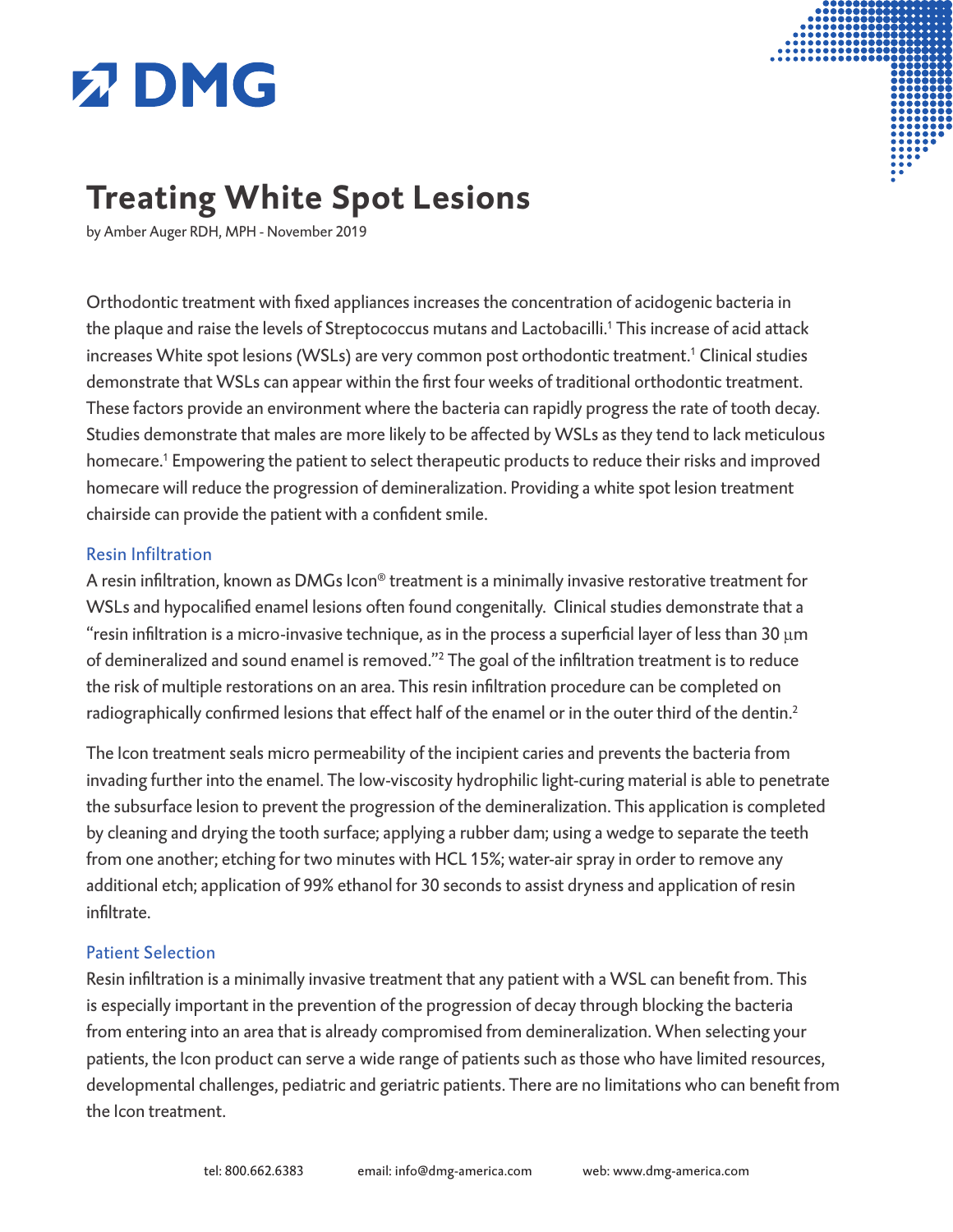# **Z DMG**



# **Treating White Spot Lesions**

by Amber Auger RDH, MPH - November 2019

Orthodontic treatment with fixed appliances increases the concentration of acidogenic bacteria in the plaque and raise the levels of Streptococcus mutans and Lactobacilli.<sup>1</sup> This increase of acid attack increases White spot lesions (WSLs) are very common post orthodontic treatment.<sup>1</sup> Clinical studies demonstrate that WSLs can appear within the first four weeks of traditional orthodontic treatment. These factors provide an environment where the bacteria can rapidly progress the rate of tooth decay. Studies demonstrate that males are more likely to be affected by WSLs as they tend to lack meticulous homecare.<sup>1</sup> Empowering the patient to select therapeutic products to reduce their risks and improved homecare will reduce the progression of demineralization. Providing a white spot lesion treatment chairside can provide the patient with a confident smile.

#### Resin Infiltration

A resin infiltration, known as DMGs Icon® treatment is a minimally invasive restorative treatment for WSLs and hypocalified enamel lesions often found congenitally. Clinical studies demonstrate that a "resin infiltration is a micro-invasive technique, as in the process a superficial layer of less than 30 μm of demineralized and sound enamel is removed."<sup>2</sup> The goal of the infiltration treatment is to reduce the risk of multiple restorations on an area. This resin infiltration procedure can be completed on radiographically confirmed lesions that effect half of the enamel or in the outer third of the dentin.<sup>2</sup>

The Icon treatment seals micro permeability of the incipient caries and prevents the bacteria from invading further into the enamel. The low-viscosity hydrophilic light-curing material is able to penetrate the subsurface lesion to prevent the progression of the demineralization. This application is completed by cleaning and drying the tooth surface; applying a rubber dam; using a wedge to separate the teeth from one another; etching for two minutes with HCL 15%; water-air spray in order to remove any additional etch; application of 99% ethanol for 30 seconds to assist dryness and application of resin infiltrate.

### Patient Selection

Resin infiltration is a minimally invasive treatment that any patient with a WSL can benefit from. This is especially important in the prevention of the progression of decay through blocking the bacteria from entering into an area that is already compromised from demineralization. When selecting your patients, the Icon product can serve a wide range of patients such as those who have limited resources, developmental challenges, pediatric and geriatric patients. There are no limitations who can benefit from the Icon treatment.